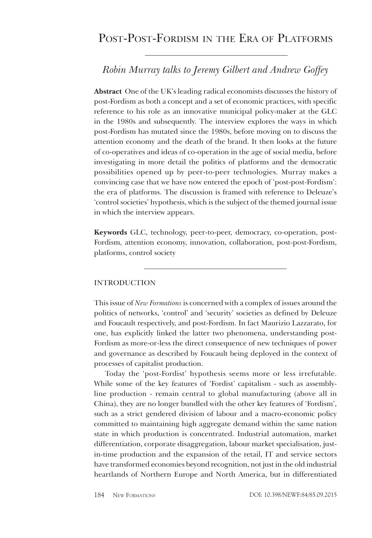# Post-Post-Fordism in the Era of Platforms

## *Robin Murray talks to Jeremy Gilbert and Andrew Goffey*

**Abstract** One of the UK's leading radical economists discusses the history of post-Fordism as both a concept and a set of economic practices, with specific reference to his role as an innovative municipal policy-maker at the GLC in the 1980s and subsequently. The interview explores the ways in which post-Fordism has mutated since the 1980s, before moving on to discuss the attention economy and the death of the brand. It then looks at the future of co-operatives and ideas of co-operation in the age of social media, before investigating in more detail the politics of platforms and the democratic possibilities opened up by peer-to-peer technologies. Murray makes a convincing case that we have now entered the epoch of 'post-post-Fordism': the era of platforms. The discussion is framed with reference to Deleuze's 'control societies' hypothesis, which is the subject of the themed journal issue in which the interview appears.

**Keywords** GLC, technology, peer-to-peer, democracy, co-operation, post-Fordism, attention economy, innovation, collaboration, post-post-Fordism, platforms, control society

## **INTRODUCTION**

This issue of *New Formations* is concerned with a complex of issues around the politics of networks, 'control' and 'security' societies as defined by Deleuze and Foucault respectively, and post-Fordism. In fact Maurizio Lazzarato, for one, has explicitly linked the latter two phenomena, understanding post-Fordism as more-or-less the direct consequence of new techniques of power and governance as described by Foucault being deployed in the context of processes of capitalist production.

Today the 'post-Fordist' hypothesis seems more or less irrefutable. While some of the key features of 'Fordist' capitalism - such as assemblyline production - remain central to global manufacturing (above all in China), they are no longer bundled with the other key features of 'Fordism', such as a strict gendered division of labour and a macro-economic policy committed to maintaining high aggregate demand within the same nation state in which production is concentrated. Industrial automation, market differentiation, corporate disaggregation, labour market specialisation, justin-time production and the expansion of the retail, IT and service sectors have transformed economies beyond recognition, not just in the old industrial heartlands of Northern Europe and North America, but in differentiated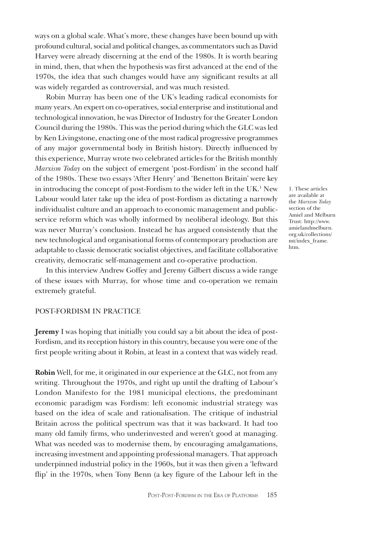ways on a global scale. What's more, these changes have been bound up with profound cultural, social and political changes, as commentators such as David Harvey were already discerning at the end of the 1980s. It is worth bearing in mind, then, that when the hypothesis was first advanced at the end of the 1970s, the idea that such changes would have any significant results at all was widely regarded as controversial, and was much resisted.

 Robin Murray has been one of the UK's leading radical economists for many years. An expert on co-operatives, social enterprise and institutional and technological innovation, he was Director of Industry for the Greater London Council during the 1980s. This was the period during which the GLC was led by Ken Livingstone, enacting one of the most radical progressive programmes of any major governmental body in British history. Directly influenced by this experience, Murray wrote two celebrated articles for the British monthly *Marxism Today* on the subject of emergent 'post-Fordism' in the second half of the 1980s. These two essays 'After Henry' and 'Benetton Britain' were key in introducing the concept of post-Fordism to the wider left in the UK.<sup>1</sup> New Labour would later take up the idea of post-Fordism as dictating a narrowly individualist culture and an approach to economic management and publicservice reform which was wholly informed by neoliberal ideology. But this was never Murray's conclusion. Instead he has argued consistently that the new technological and organisational forms of contemporary production are adaptable to classic democratic socialist objectives, and facilitate collaborative creativity, democratic self-management and co-operative production.

In this interview Andrew Goffey and Jeremy Gilbert discuss a wide range of these issues with Murray, for whose time and co-operation we remain extremely grateful.

#### Post-Fordism in Practice

**Jeremy** I was hoping that initially you could say a bit about the idea of post-Fordism, and its reception history in this country, because you were one of the first people writing about it Robin, at least in a context that was widely read.

**Robin** Well, for me, it originated in our experience at the GLC, not from any writing. Throughout the 1970s, and right up until the drafting of Labour's London Manifesto for the 1981 municipal elections, the predominant economic paradigm was Fordism: left economic industrial strategy was based on the idea of scale and rationalisation. The critique of industrial Britain across the political spectrum was that it was backward. It had too many old family firms, who underinvested and weren't good at managing. What was needed was to modernise them, by encouraging amalgamations, increasing investment and appointing professional managers. That approach underpinned industrial policy in the 1960s, but it was then given a 'leftward flip' in the 1970s, when Tony Benn (a key figure of the Labour left in the 1. These articles are available at the *Marxism Today* section of the Amiel and Melburn Trust: http://www. amielandmelburn. org.uk/collections/ mt/index\_frame. htm.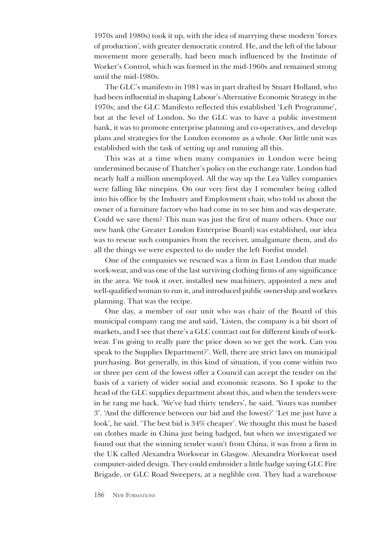1970s and 1980s) took it up, with the idea of marrying these modern 'forces of production', with greater democratic control. He, and the left of the labour movement more generally, had been much influenced by the Institute of Worker's Control, which was formed in the mid-1960s and remained strong until the mid-1980s.

The GLC's manifesto in 1981 was in part drafted by Stuart Holland, who had been influential in shaping Labour's Alternative Economic Strategy in the 1970s; and the GLC Manifesto reflected this established 'Left Programme', but at the level of London. So the GLC was to have a public investment bank, it was to promote enterprise planning and co-operatives, and develop plans and strategies for the London economy as a whole. Our little unit was established with the task of setting up and running all this.

This was at a time when many companies in London were being undermined because of Thatcher's policy on the exchange rate. London had nearly half a million unemployed. All the way up the Lea Valley companies were falling like ninepins. On our very first day I remember being called into his office by the Industry and Employment chair, who told us about the owner of a furniture factory who had come in to see him and was desperate. Could we save them? This man was just the first of many others. Once our new bank (the Greater London Enterprise Board) was established, our idea was to rescue such companies from the receiver, amalgamate them, and do all the things we were expected to do under the left Fordist model.

One of the companies we rescued was a firm in East London that made work-wear, and was one of the last surviving clothing firms of any significance in the area. We took it over, installed new machinery, appointed a new and well-qualified woman to run it, and introduced public ownership and workers planning. That was the recipe.

One day, a member of our unit who was chair of the Board of this municipal company rang me and said, 'Listen, the company is a bit short of markets, and I see that there's a GLC contract out for different kinds of workwear. I'm going to really pare the price down so we get the work. Can you speak to the Supplies Department?'. Well, there are strict laws on municipal purchasing. But generally, in this kind of situation, if you come within two or three per cent of the lowest offer a Council can accept the tender on the basis of a variety of wider social and economic reasons. So I spoke to the head of the GLC supplies department about this, and when the tenders were in he rang me back. 'We've had thirty tenders', he said. 'Yours was number 3'. 'And the difference between our bid and the lowest?' 'Let me just have a look', he said. 'The best bid is 34% cheaper'. We thought this must be based on clothes made in China just being badged, but when we investigated we found out that the winning tender wasn't from China, it was from a firm in the UK called Alexandra Workwear in Glasgow. Alexandra Workwear used computer-aided design. They could embroider a little badge saying GLC Fire Brigade, or GLC Road Sweepers, at a neglible cost. They had a warehouse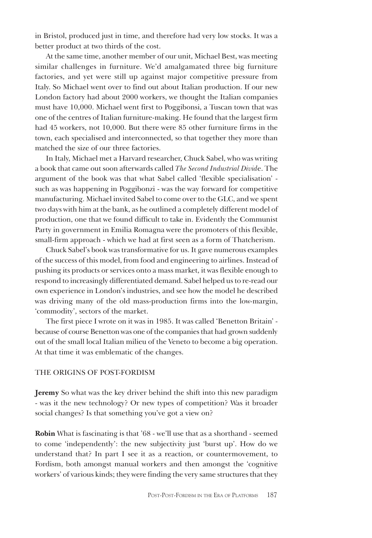in Bristol, produced just in time, and therefore had very low stocks. It was a better product at two thirds of the cost.

At the same time, another member of our unit, Michael Best, was meeting similar challenges in furniture. We'd amalgamated three big furniture factories, and yet were still up against major competitive pressure from Italy. So Michael went over to find out about Italian production. If our new London factory had about 2000 workers, we thought the Italian companies must have 10,000. Michael went first to Poggibonsi, a Tuscan town that was one of the centres of Italian furniture-making. He found that the largest firm had 45 workers, not 10,000. But there were 85 other furniture firms in the town, each specialised and interconnected, so that together they more than matched the size of our three factories.

In Italy, Michael met a Harvard researcher, Chuck Sabel, who was writing a book that came out soon afterwards called *The Second Industrial Divid*e. The argument of the book was that what Sabel called 'flexible specialisation' such as was happening in Poggibonzi - was the way forward for competitive manufacturing. Michael invited Sabel to come over to the GLC, and we spent two days with him at the bank, as he outlined a completely different model of production, one that we found difficult to take in. Evidently the Communist Party in government in Emilia Romagna were the promoters of this flexible, small-firm approach - which we had at first seen as a form of Thatcherism.

Chuck Sabel's book was transformative for us. It gave numerous examples of the success of this model, from food and engineering to airlines. Instead of pushing its products or services onto a mass market, it was flexible enough to respond to increasingly differentiated demand. Sabel helped us to re-read our own experience in London's industries, and see how the model he described was driving many of the old mass-production firms into the low-margin, 'commodity', sectors of the market.

The first piece I wrote on it was in 1985. It was called 'Benetton Britain' because of course Benetton was one of the companies that had grown suddenly out of the small local Italian milieu of the Veneto to become a big operation. At that time it was emblematic of the changes.

## The Origins of Post-Fordism

**Jeremy** So what was the key driver behind the shift into this new paradigm - was it the new technology? Or new types of competition? Was it broader social changes? Is that something you've got a view on?

**Robin** What is fascinating is that '68 - we'll use that as a shorthand - seemed to come 'independently': the new subjectivity just 'burst up'. How do we understand that? In part I see it as a reaction, or countermovement, to Fordism, both amongst manual workers and then amongst the 'cognitive workers' of various kinds; they were finding the very same structures that they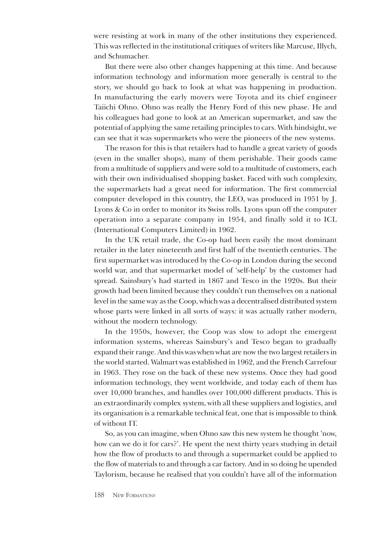were resisting at work in many of the other institutions they experienced. This was reflected in the institutional critiques of writers like Marcuse, Illych, and Schumacher.

But there were also other changes happening at this time. And because information technology and information more generally is central to the story, we should go back to look at what was happening in production. In manufacturing the early movers were Toyota and its chief engineer Taiichi Ohno. Ohno was really the Henry Ford of this new phase. He and his colleagues had gone to look at an American supermarket, and saw the potential of applying the same retailing principles to cars. With hindsight, we can see that it was supermarkets who were the pioneers of the new systems.

The reason for this is that retailers had to handle a great variety of goods (even in the smaller shops), many of them perishable. Their goods came from a multitude of suppliers and were sold to a multitude of customers, each with their own individualised shopping basket. Faced with such complexity, the supermarkets had a great need for information. The first commercial computer developed in this country, the LEO, was produced in 1951 by J. Lyons & Co in order to monitor its Swiss rolls. Lyons spun off the computer operation into a separate company in 1954, and finally sold it to ICL (International Computers Limited) in 1962.

In the UK retail trade, the Co-op had been easily the most dominant retailer in the later nineteenth and first half of the twentieth centuries. The first supermarket was introduced by the Co-op in London during the second world war, and that supermarket model of 'self-help' by the customer had spread. Sainsbury's had started in 1867 and Tesco in the 1920s. But their growth had been limited because they couldn't run themselves on a national level in the same way as the Coop, which was a decentralised distributed system whose parts were linked in all sorts of ways: it was actually rather modern, without the modern technology.

In the 1950s, however, the Coop was slow to adopt the emergent information systems, whereas Sainsbury's and Tesco began to gradually expand their range. And this was when what are now the two largest retailers in the world started. Walmart was established in 1962, and the French Carrefour in 1963. They rose on the back of these new systems. Once they had good information technology, they went worldwide, and today each of them has over 10,000 branches, and handles over 100,000 different products. This is an extraordinarily complex system, with all these suppliers and logistics, and its organisation is a remarkable technical feat, one that is impossible to think of without IT.

 So, as you can imagine, when Ohno saw this new system he thought 'now, how can we do it for cars?'. He spent the next thirty years studying in detail how the flow of products to and through a supermarket could be applied to the flow of materials to and through a car factory. And in so doing he upended Taylorism, because he realised that you couldn't have all of the information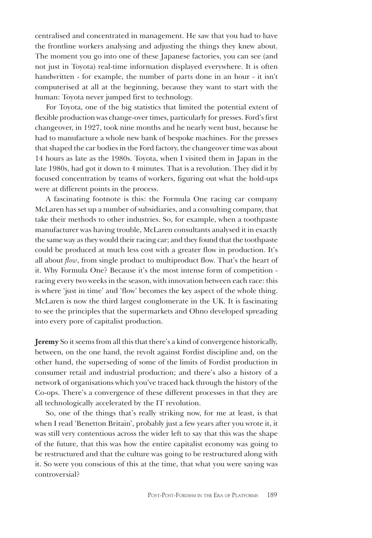centralised and concentrated in management. He saw that you had to have the frontline workers analysing and adjusting the things they knew about. The moment you go into one of these Japanese factories, you can see (and not just in Toyota) real-time information displayed everywhere. It is often handwritten - for example, the number of parts done in an hour - it isn't computerised at all at the beginning, because they want to start with the human: Toyota never jumped first to technology.

For Toyota, one of the big statistics that limited the potential extent of flexible production was change-over times, particularly for presses. Ford's first changeover, in 1927, took nine months and he nearly went bust, because he had to manufacture a whole new bank of bespoke machines. For the presses that shaped the car bodies in the Ford factory, the changeover time was about 14 hours as late as the 1980s. Toyota, when I visited them in Japan in the late 1980s, had got it down to 4 minutes. That is a revolution. They did it by focused concentration by teams of workers, figuring out what the hold-ups were at different points in the process.

A fascinating footnote is this: the Formula One racing car company McLaren has set up a number of subsidiaries, and a consulting company, that take their methods to other industries. So, for example, when a toothpaste manufacturer was having trouble, McLaren consultants analysed it in exactly the same way as they would their racing car; and they found that the toothpaste could be produced at much less cost with a greater flow in production. It's all about *flow*, from single product to multiproduct flow. That's the heart of it. Why Formula One? Because it's the most intense form of competition racing every two weeks in the season, with innovation between each race: this is where 'just in time' and 'flow' becomes the key aspect of the whole thing. McLaren is now the third largest conglomerate in the UK. It is fascinating to see the principles that the supermarkets and Ohno developed spreading into every pore of capitalist production.

**Jeremy** So it seems from all this that there's a kind of convergence historically, between, on the one hand, the revolt against Fordist discipline and, on the other hand, the superseding of some of the limits of Fordist production in consumer retail and industrial production; and there's also a history of a network of organisations which you've traced back through the history of the Co-ops. There's a convergence of these different processes in that they are all technologically accelerated by the IT revolution.

 So, one of the things that's really striking now, for me at least, is that when I read 'Benetton Britain', probably just a few years after you wrote it, it was still very contentious across the wider left to say that this was the shape of the future, that this was how the entire capitalist economy was going to be restructured and that the culture was going to be restructured along with it. So were you conscious of this at the time, that what you were saying was controversial?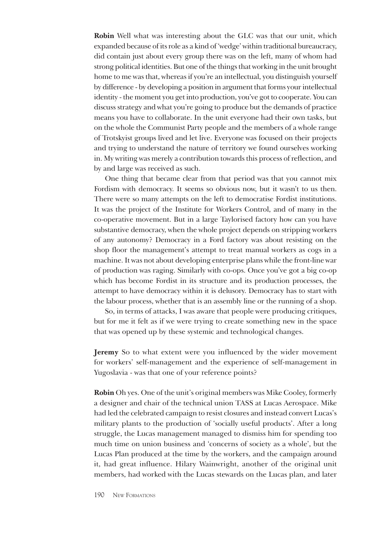**Robin** Well what was interesting about the GLC was that our unit, which expanded because of its role as a kind of 'wedge' within traditional bureaucracy, did contain just about every group there was on the left, many of whom had strong political identities. But one of the things that working in the unit brought home to me was that, whereas if you're an intellectual, you distinguish yourself by difference - by developing a position in argument that forms your intellectual identity - the moment you get into production, you've got to cooperate. You can discuss strategy and what you're going to produce but the demands of practice means you have to collaborate. In the unit everyone had their own tasks, but on the whole the Communist Party people and the members of a whole range of Trotskyist groups lived and let live. Everyone was focused on their projects and trying to understand the nature of territory we found ourselves working in. My writing was merely a contribution towards this process of reflection, and by and large was received as such.

One thing that became clear from that period was that you cannot mix Fordism with democracy. It seems so obvious now, but it wasn't to us then. There were so many attempts on the left to democratise Fordist institutions. It was the project of the Institute for Workers Control, and of many in the co-operative movement. But in a large Taylorised factory how can you have substantive democracy, when the whole project depends on stripping workers of any autonomy? Democracy in a Ford factory was about resisting on the shop floor the management's attempt to treat manual workers as cogs in a machine. It was not about developing enterprise plans while the front-line war of production was raging. Similarly with co-ops. Once you've got a big co-op which has become Fordist in its structure and its production processes, the attempt to have democracy within it is delusory. Democracy has to start with the labour process, whether that is an assembly line or the running of a shop.

 So, in terms of attacks, I was aware that people were producing critiques, but for me it felt as if we were trying to create something new in the space that was opened up by these systemic and technological changes.

**Jeremy** So to what extent were you influenced by the wider movement for workers' self-management and the experience of self-management in Yugoslavia - was that one of your reference points?

**Robin** Oh yes. One of the unit's original members was Mike Cooley, formerly a designer and chair of the technical union TASS at Lucas Aerospace. Mike had led the celebrated campaign to resist closures and instead convert Lucas's military plants to the production of 'socially useful products'. After a long struggle, the Lucas management managed to dismiss him for spending too much time on union business and 'concerns of society as a whole', but the Lucas Plan produced at the time by the workers, and the campaign around it, had great influence. Hilary Wainwright, another of the original unit members, had worked with the Lucas stewards on the Lucas plan, and later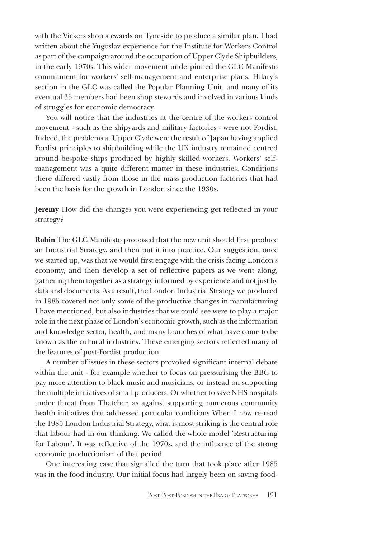with the Vickers shop stewards on Tyneside to produce a similar plan. I had written about the Yugoslav experience for the Institute for Workers Control as part of the campaign around the occupation of Upper Clyde Shipbuilders, in the early 1970s. This wider movement underpinned the GLC Manifesto commitment for workers' self-management and enterprise plans. Hilary's section in the GLC was called the Popular Planning Unit, and many of its eventual 35 members had been shop stewards and involved in various kinds of struggles for economic democracy.

You will notice that the industries at the centre of the workers control movement - such as the shipyards and military factories - were not Fordist. Indeed, the problems at Upper Clyde were the result of Japan having applied Fordist principles to shipbuilding while the UK industry remained centred around bespoke ships produced by highly skilled workers. Workers' selfmanagement was a quite different matter in these industries. Conditions there differed vastly from those in the mass production factories that had been the basis for the growth in London since the 1930s.

**Jeremy** How did the changes you were experiencing get reflected in your strategy?

**Robin** The GLC Manifesto proposed that the new unit should first produce an Industrial Strategy, and then put it into practice. Our suggestion, once we started up, was that we would first engage with the crisis facing London's economy, and then develop a set of reflective papers as we went along, gathering them together as a strategy informed by experience and not just by data and documents. As a result, the London Industrial Strategy we produced in 1985 covered not only some of the productive changes in manufacturing I have mentioned, but also industries that we could see were to play a major role in the next phase of London's economic growth, such as the information and knowledge sector, health, and many branches of what have come to be known as the cultural industries. These emerging sectors reflected many of the features of post-Fordist production.

A number of issues in these sectors provoked significant internal debate within the unit - for example whether to focus on pressurising the BBC to pay more attention to black music and musicians, or instead on supporting the multiple initiatives of small producers. Or whether to save NHS hospitals under threat from Thatcher, as against supporting numerous community health initiatives that addressed particular conditions When I now re-read the 1985 London Industrial Strategy, what is most striking is the central role that labour had in our thinking. We called the whole model 'Restructuring for Labour'. It was reflective of the 1970s, and the influence of the strong economic productionism of that period.

One interesting case that signalled the turn that took place after 1985 was in the food industry. Our initial focus had largely been on saving food-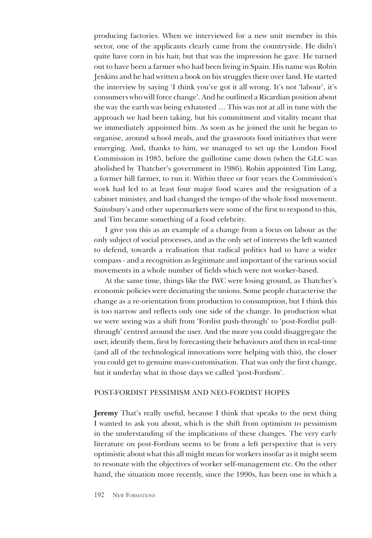producing factories. When we interviewed for a new unit member in this sector, one of the applicants clearly came from the countryside. He didn't quite have corn in his hair, but that was the impression he gave. He turned out to have been a farmer who had been living in Spain. His name was Robin Jenkins and he had written a book on his struggles there over land. He started the interview by saying 'I think you've got it all wrong. It's not 'labour', it's consumers who will force change'. And he outlined a Ricardian position about the way the earth was being exhausted … This was not at all in tune with the approach we had been taking, but his commitment and vitality meant that we immediately appointed him. As soon as he joined the unit he began to organise, around school meals, and the grassroots food initiatives that were emerging. And, thanks to him, we managed to set up the London Food Commission in 1985, before the guillotine came down (when the GLC was abolished by Thatcher's government in 1986). Robin appointed Tim Lang, a former hill farmer, to run it. Within three or four years the Commission's work had led to at least four major food scares and the resignation of a cabinet minister, and had changed the tempo of the whole food movement. Sainsbury's and other supermarkets were some of the first to respond to this, and Tim became something of a food celebrity.

I give you this as an example of a change from a focus on labour as the only subject of social processes, and as the only set of interests the left wanted to defend, towards a realisation that radical politics had to have a wider compass - and a recognition as legitimate and important of the various social movements in a whole number of fields which were not worker-based.

At the same time, things like the IWC were losing ground, as Thatcher's economic policies were decimating the unions. Some people characterise the change as a re-orientation from production to consumption, but I think this is too narrow and reflects only one side of the change. In production what we were seeing was a shift from 'Fordist push-through' to 'post-Fordist pullthrough' centred around the user. And the more you could disaggregate the user, identify them, first by forecasting their behaviours and then in real-time (and all of the technological innovations were helping with this), the closer you could get to genuine mass-customisation. That was only the first change, but it underlay what in those days we called 'post-Fordism'.

#### Post-Fordist Pessimism and Neo-Fordist Hopes

**Jeremy** That's really useful, because I think that speaks to the next thing I wanted to ask you about, which is the shift from optimism to pessimism in the understanding of the implications of these changes. The very early literature on post-Fordism seems to be from a left perspective that is very optimistic about what this all might mean for workers insofar as it might seem to resonate with the objectives of worker self-management etc. On the other hand, the situation more recently, since the 1990s, has been one in which a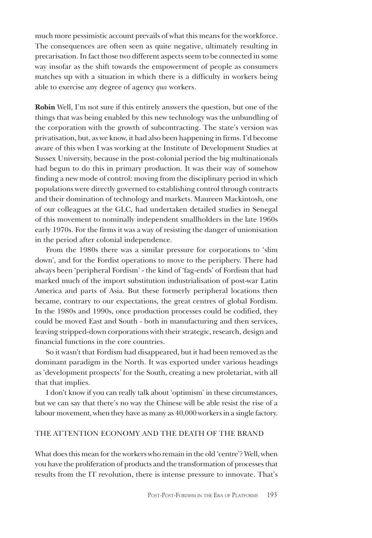much more pessimistic account prevails of what this means for the workforce. The consequences are often seen as quite negative, ultimately resulting in precarisation. In fact those two different aspects seem to be connected in some way insofar as the shift towards the empowerment of people as consumers matches up with a situation in which there is a difficulty in workers being able to exercise any degree of agency *qua* workers.

**Robin** Well, I'm not sure if this entirely answers the question, but one of the things that was being enabled by this new technology was the unbundling of the corporation with the growth of subcontracting. The state's version was privatisation, but, as we know, it had also been happening in firms. I'd become aware of this when I was working at the Institute of Development Studies at Sussex University, because in the post-colonial period the big multinationals had begun to do this in primary production. It was their way of somehow finding a new mode of control: moving from the disciplinary period in which populations were directly governed to establishing control through contracts and their domination of technology and markets. Maureen Mackintosh, one of our colleagues at the GLC, had undertaken detailed studies in Senegal of this movement to nominally independent smallholders in the late 1960s early 1970s. For the firms it was a way of resisting the danger of unionisation in the period after colonial independence.

From the 1980s there was a similar pressure for corporations to 'slim down', and for the Fordist operations to move to the periphery. There had always been 'peripheral Fordism' - the kind of 'fag-ends' of Fordism that had marked much of the import substitution industrialisation of post-war Latin America and parts of Asia. But these formerly peripheral locations then became, contrary to our expectations, the great centres of global Fordism. In the 1980s and 1990s, once production processes could be codified, they could be moved East and South - both in manufacturing and then services, leaving stripped-down corporations with their strategic, research, design and financial functions in the core countries.

 So it wasn't that Fordism had disappeared, but it had been removed as the dominant paradigm in the North. It was exported under various headings as 'development prospects' for the South, creating a new proletariat, with all that that implies.

I don't know if you can really talk about 'optimism' in these circumstances, but we can say that there's no way the Chinese will be able resist the rise of a labour movement, when they have as many as 40,000 workers in a single factory.

## The Attention Economy and the Death of the Brand

What does this mean for the workers who remain in the old 'centre'? Well, when you have the proliferation of products and the transformation of processes that results from the IT revolution, there is intense pressure to innovate. That's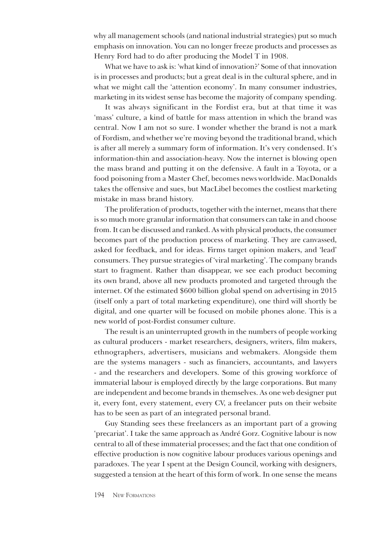why all management schools (and national industrial strategies) put so much emphasis on innovation. You can no longer freeze products and processes as Henry Ford had to do after producing the Model T in 1908.

What we have to ask is: 'what kind of innovation?' Some of that innovation is in processes and products; but a great deal is in the cultural sphere, and in what we might call the 'attention economy'. In many consumer industries, marketing in its widest sense has become the majority of company spending.

It was always significant in the Fordist era, but at that time it was 'mass' culture, a kind of battle for mass attention in which the brand was central. Now I am not so sure. I wonder whether the brand is not a mark of Fordism, and whether we're moving beyond the traditional brand, which is after all merely a summary form of information. It's very condensed. It's information-thin and association-heavy. Now the internet is blowing open the mass brand and putting it on the defensive. A fault in a Toyota, or a food poisoning from a Master Chef, becomes news worldwide. MacDonalds takes the offensive and sues, but MacLibel becomes the costliest marketing mistake in mass brand history.

The proliferation of products, together with the internet, means that there is so much more granular information that consumers can take in and choose from. It can be discussed and ranked. As with physical products, the consumer becomes part of the production process of marketing. They are canvassed, asked for feedback, and for ideas. Firms target opinion makers, and 'lead' consumers. They pursue strategies of 'viral marketing'. The company brands start to fragment. Rather than disappear, we see each product becoming its own brand, above all new products promoted and targeted through the internet. Of the estimated \$600 billion global spend on advertising in 2015 (itself only a part of total marketing expenditure), one third will shortly be digital, and one quarter will be focused on mobile phones alone. This is a new world of post-Fordist consumer culture.

The result is an uninterrupted growth in the numbers of people working as cultural producers - market researchers, designers, writers, film makers, ethnographers, advertisers, musicians and webmakers. Alongside them are the systems managers - such as financiers, accountants, and lawyers - and the researchers and developers. Some of this growing workforce of immaterial labour is employed directly by the large corporations. But many are independent and become brands in themselves. As one web designer put it, every font, every statement, every CV, a freelancer puts on their website has to be seen as part of an integrated personal brand.

Guy Standing sees these freelancers as an important part of a growing 'precariat'. I take the same approach as André Gorz. Cognitive labour is now central to all of these immaterial processes; and the fact that one condition of effective production is now cognitive labour produces various openings and paradoxes. The year I spent at the Design Council, working with designers, suggested a tension at the heart of this form of work. In one sense the means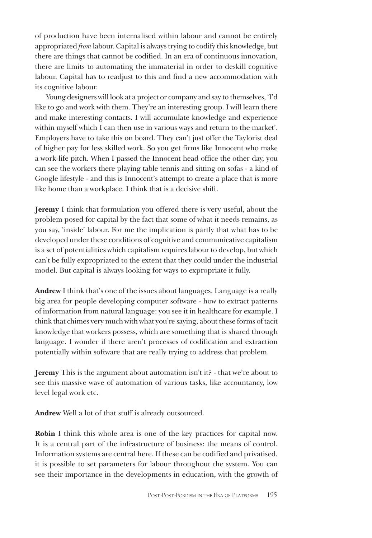of production have been internalised within labour and cannot be entirely appropriated *from* labour. Capital is always trying to codify this knowledge, but there are things that cannot be codified. In an era of continuous innovation, there are limits to automating the immaterial in order to deskill cognitive labour. Capital has to readjust to this and find a new accommodation with its cognitive labour.

Young designers will look at a project or company and say to themselves, 'I'd like to go and work with them. They're an interesting group. I will learn there and make interesting contacts. I will accumulate knowledge and experience within myself which I can then use in various ways and return to the market'. Employers have to take this on board. They can't just offer the Taylorist deal of higher pay for less skilled work. So you get firms like Innocent who make a work-life pitch. When I passed the Innocent head office the other day, you can see the workers there playing table tennis and sitting on sofas - a kind of Google lifestyle - and this is Innocent's attempt to create a place that is more like home than a workplace. I think that is a decisive shift.

**Jeremy** I think that formulation you offered there is very useful, about the problem posed for capital by the fact that some of what it needs remains, as you say, 'inside' labour. For me the implication is partly that what has to be developed under these conditions of cognitive and communicative capitalism is a set of potentialities which capitalism requires labour to develop, but which can't be fully expropriated to the extent that they could under the industrial model. But capital is always looking for ways to expropriate it fully.

**Andrew** I think that's one of the issues about languages. Language is a really big area for people developing computer software - how to extract patterns of information from natural language: you see it in healthcare for example. I think that chimes very much with what you're saying, about these forms of tacit knowledge that workers possess, which are something that is shared through language. I wonder if there aren't processes of codification and extraction potentially within software that are really trying to address that problem.

**Jeremy** This is the argument about automation isn't it? - that we're about to see this massive wave of automation of various tasks, like accountancy, low level legal work etc.

**Andrew** Well a lot of that stuff is already outsourced.

**Robin** I think this whole area is one of the key practices for capital now. It is a central part of the infrastructure of business: the means of control. Information systems are central here. If these can be codified and privatised, it is possible to set parameters for labour throughout the system. You can see their importance in the developments in education, with the growth of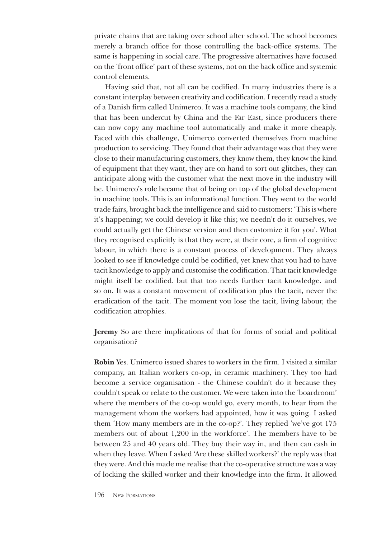private chains that are taking over school after school. The school becomes merely a branch office for those controlling the back-office systems. The same is happening in social care. The progressive alternatives have focused on the 'front office' part of these systems, not on the back office and systemic control elements.

Having said that, not all can be codified. In many industries there is a constant interplay between creativity and codification. I recently read a study of a Danish firm called Unimerco. It was a machine tools company, the kind that has been undercut by China and the Far East, since producers there can now copy any machine tool automatically and make it more cheaply. Faced with this challenge, Unimerco converted themselves from machine production to servicing. They found that their advantage was that they were close to their manufacturing customers, they know them, they know the kind of equipment that they want, they are on hand to sort out glitches, they can anticipate along with the customer what the next move in the industry will be. Unimerco's role became that of being on top of the global development in machine tools. This is an informational function. They went to the world trade fairs, brought back the intelligence and said to customers: 'This is where it's happening; we could develop it like this; we needn't do it ourselves, we could actually get the Chinese version and then customize it for you'. What they recognised explicitly is that they were, at their core, a firm of cognitive labour, in which there is a constant process of development. They always looked to see if knowledge could be codified, yet knew that you had to have tacit knowledge to apply and customise the codification. That tacit knowledge might itself be codified. but that too needs further tacit knowledge. and so on. It was a constant movement of codification plus the tacit, never the eradication of the tacit. The moment you lose the tacit, living labour, the codification atrophies.

**Jeremy** So are there implications of that for forms of social and political organisation?

**Robin** Yes. Unimerco issued shares to workers in the firm. I visited a similar company, an Italian workers co-op, in ceramic machinery. They too had become a service organisation - the Chinese couldn't do it because they couldn't speak or relate to the customer. We were taken into the 'boardroom' where the members of the co-op would go, every month, to hear from the management whom the workers had appointed, how it was going. I asked them 'How many members are in the co-op?'. They replied 'we've got 175 members out of about 1,200 in the workforce'. The members have to be between 25 and 40 years old. They buy their way in, and then can cash in when they leave. When I asked 'Are these skilled workers?' the reply was that they were. And this made me realise that the co-operative structure was a way of locking the skilled worker and their knowledge into the firm. It allowed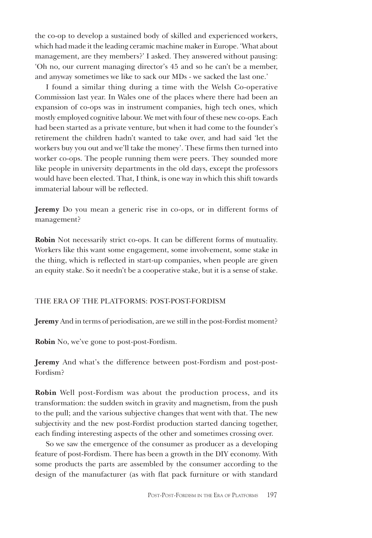the co-op to develop a sustained body of skilled and experienced workers, which had made it the leading ceramic machine maker in Europe. 'What about management, are they members?' I asked. They answered without pausing: 'Oh no, our current managing director's 45 and so he can't be a member, and anyway sometimes we like to sack our MDs - we sacked the last one.'

I found a similar thing during a time with the Welsh Co-operative Commission last year. In Wales one of the places where there had been an expansion of co-ops was in instrument companies, high tech ones, which mostly employed cognitive labour. We met with four of these new co-ops. Each had been started as a private venture, but when it had come to the founder's retirement the children hadn't wanted to take over, and had said 'let the workers buy you out and we'll take the money'. These firms then turned into worker co-ops. The people running them were peers. They sounded more like people in university departments in the old days, except the professors would have been elected. That, I think, is one way in which this shift towards immaterial labour will be reflected.

**Jeremy** Do you mean a generic rise in co-ops, or in different forms of management?

**Robin** Not necessarily strict co-ops. It can be different forms of mutuality. Workers like this want some engagement, some involvement, some stake in the thing, which is reflected in start-up companies, when people are given an equity stake. So it needn't be a cooperative stake, but it is a sense of stake.

### The Era of the Platforms: post-post-Fordism

**Jeremy** And in terms of periodisation, are we still in the post-Fordist moment?

**Robin** No, we've gone to post-post-Fordism.

**Jeremy** And what's the difference between post-Fordism and post-post-Fordism?

**Robin** Well post-Fordism was about the production process, and its transformation: the sudden switch in gravity and magnetism, from the push to the pull; and the various subjective changes that went with that. The new subjectivity and the new post-Fordist production started dancing together, each finding interesting aspects of the other and sometimes crossing over.

 So we saw the emergence of the consumer as producer as a developing feature of post-Fordism. There has been a growth in the DIY economy. With some products the parts are assembled by the consumer according to the design of the manufacturer (as with flat pack furniture or with standard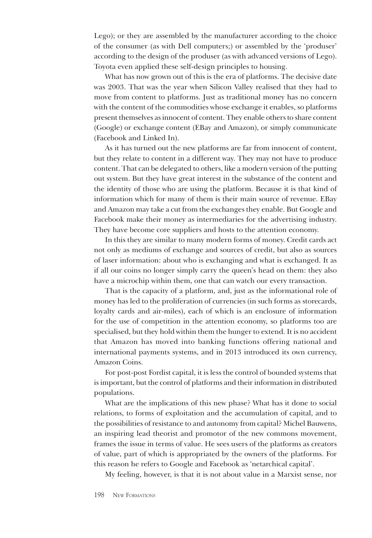Lego); or they are assembled by the manufacturer according to the choice of the consumer (as with Dell computers;) or assembled by the 'produser' according to the design of the produser (as with advanced versions of Lego). Toyota even applied these self-design principles to housing.

What has now grown out of this is the era of platforms. The decisive date was 2003. That was the year when Silicon Valley realised that they had to move from content to platforms. Just as traditional money has no concern with the content of the commodities whose exchange it enables, so platforms present themselves as innocent of content. They enable others to share content (Google) or exchange content (EBay and Amazon), or simply communicate (Facebook and Linked In).

As it has turned out the new platforms are far from innocent of content, but they relate to content in a different way. They may not have to produce content. That can be delegated to others, like a modern version of the putting out system. But they have great interest in the substance of the content and the identity of those who are using the platform. Because it is that kind of information which for many of them is their main source of revenue. EBay and Amazon may take a cut from the exchanges they enable. But Google and Facebook make their money as intermediaries for the advertising industry. They have become core suppliers and hosts to the attention economy.

In this they are similar to many modern forms of money. Credit cards act not only as mediums of exchange and sources of credit, but also as sources of laser information: about who is exchanging and what is exchanged. It as if all our coins no longer simply carry the queen's head on them: they also have a microchip within them, one that can watch our every transaction.

That is the capacity of a platform, and, just as the informational role of money has led to the proliferation of currencies (in such forms as storecards, loyalty cards and air-miles), each of which is an enclosure of information for the use of competition in the attention economy, so platforms too are specialised, but they hold within them the hunger to extend. It is no accident that Amazon has moved into banking functions offering national and international payments systems, and in 2013 introduced its own currency, Amazon Coins.

For post-post Fordist capital, it is less the control of bounded systems that is important, but the control of platforms and their information in distributed populations.

What are the implications of this new phase? What has it done to social relations, to forms of exploitation and the accumulation of capital, and to the possibilities of resistance to and autonomy from capital? Michel Bauwens, an inspiring lead theorist and promotor of the new commons movement, frames the issue in terms of value. He sees users of the platforms as creators of value, part of which is appropriated by the owners of the platforms. For this reason he refers to Google and Facebook as 'netarchical capital'.

My feeling, however, is that it is not about value in a Marxist sense, nor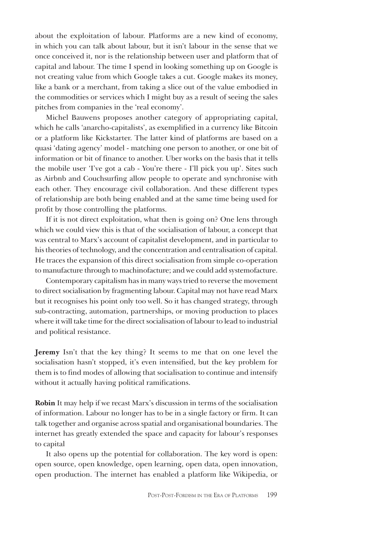about the exploitation of labour. Platforms are a new kind of economy, in which you can talk about labour, but it isn't labour in the sense that we once conceived it, nor is the relationship between user and platform that of capital and labour. The time I spend in looking something up on Google is not creating value from which Google takes a cut. Google makes its money, like a bank or a merchant, from taking a slice out of the value embodied in the commodities or services which I might buy as a result of seeing the sales pitches from companies in the 'real economy'.

Michel Bauwens proposes another category of appropriating capital, which he calls 'anarcho-capitalists', as exemplified in a currency like Bitcoin or a platform like Kickstarter. The latter kind of platforms are based on a quasi 'dating agency' model - matching one person to another, or one bit of information or bit of finance to another. Uber works on the basis that it tells the mobile user 'I've got a cab - You're there - I'll pick you up'. Sites such as Airbnb and Couchsurfing allow people to operate and synchronise with each other. They encourage civil collaboration. And these different types of relationship are both being enabled and at the same time being used for profit by those controlling the platforms.

If it is not direct exploitation, what then is going on? One lens through which we could view this is that of the socialisation of labour, a concept that was central to Marx's account of capitalist development, and in particular to his theories of technology, and the concentration and centralisation of capital. He traces the expansion of this direct socialisation from simple co-operation to manufacture through to machinofacture; and we could add systemofacture.

Contemporary capitalism has in many ways tried to reverse the movement to direct socialisation by fragmenting labour. Capital may not have read Marx but it recognises his point only too well. So it has changed strategy, through sub-contracting, automation, partnerships, or moving production to places where it will take time for the direct socialisation of labour to lead to industrial and political resistance.

**Jeremy** Isn't that the key thing? It seems to me that on one level the socialisation hasn't stopped, it's even intensified, but the key problem for them is to find modes of allowing that socialisation to continue and intensify without it actually having political ramifications.

**Robin** It may help if we recast Marx's discussion in terms of the socialisation of information. Labour no longer has to be in a single factory or firm. It can talk together and organise across spatial and organisational boundaries. The internet has greatly extended the space and capacity for labour's responses to capital

It also opens up the potential for collaboration. The key word is open: open source, open knowledge, open learning, open data, open innovation, open production. The internet has enabled a platform like Wikipedia, or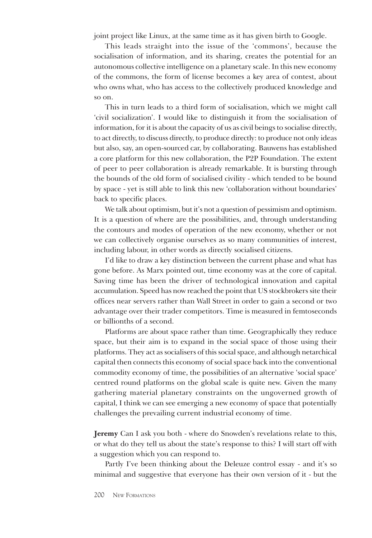joint project like Linux, at the same time as it has given birth to Google.

This leads straight into the issue of the 'commons', because the socialisation of information, and its sharing, creates the potential for an autonomous collective intelligence on a planetary scale. In this new economy of the commons, the form of license becomes a key area of contest, about who owns what, who has access to the collectively produced knowledge and so on.

This in turn leads to a third form of socialisation, which we might call 'civil socialization'. I would like to distinguish it from the socialisation of information, for it is about the capacity of us as civil beings to socialise directly, to act directly, to discuss directly, to produce directly: to produce not only ideas but also, say, an open-sourced car, by collaborating. Bauwens has established a core platform for this new collaboration, the P2P Foundation. The extent of peer to peer collaboration is already remarkable. It is bursting through the bounds of the old form of socialised civility - which tended to be bound by space - yet is still able to link this new 'collaboration without boundaries' back to specific places.

We talk about optimism, but it's not a question of pessimism and optimism. It is a question of where are the possibilities, and, through understanding the contours and modes of operation of the new economy, whether or not we can collectively organise ourselves as so many communities of interest, including labour, in other words as directly socialised citizens.

I'd like to draw a key distinction between the current phase and what has gone before. As Marx pointed out, time economy was at the core of capital. Saving time has been the driver of technological innovation and capital accumulation. Speed has now reached the point that US stockbrokers site their offices near servers rather than Wall Street in order to gain a second or two advantage over their trader competitors. Time is measured in femtoseconds or billionths of a second.

Platforms are about space rather than time. Geographically they reduce space, but their aim is to expand in the social space of those using their platforms. They act as socialisers of this social space, and although netarchical capital then connects this economy of social space back into the conventional commodity economy of time, the possibilities of an alternative 'social space' centred round platforms on the global scale is quite new. Given the many gathering material planetary constraints on the ungoverned growth of capital, I think we can see emerging a new economy of space that potentially challenges the prevailing current industrial economy of time.

**Jeremy** Can I ask you both - where do Snowden's revelations relate to this, or what do they tell us about the state's response to this? I will start off with a suggestion which you can respond to.

Partly I've been thinking about the Deleuze control essay - and it's so minimal and suggestive that everyone has their own version of it - but the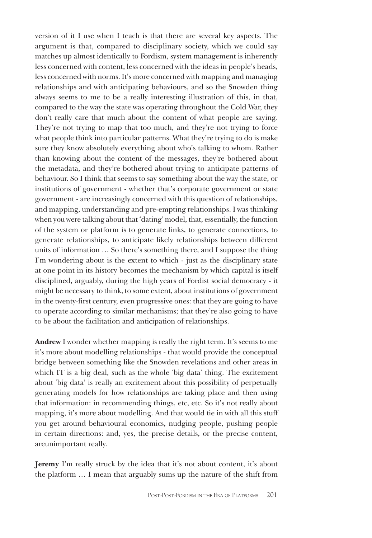version of it I use when I teach is that there are several key aspects. The argument is that, compared to disciplinary society, which we could say matches up almost identically to Fordism, system management is inherently less concerned with content, less concerned with the ideas in people's heads, less concerned with norms. It's more concerned with mapping and managing relationships and with anticipating behaviours, and so the Snowden thing always seems to me to be a really interesting illustration of this, in that, compared to the way the state was operating throughout the Cold War, they don't really care that much about the content of what people are saying. They're not trying to map that too much, and they're not trying to force what people think into particular patterns. What they're trying to do is make sure they know absolutely everything about who's talking to whom. Rather than knowing about the content of the messages, they're bothered about the metadata, and they're bothered about trying to anticipate patterns of behaviour. So I think that seems to say something about the way the state, or institutions of government - whether that's corporate government or state government - are increasingly concerned with this question of relationships, and mapping, understanding and pre-empting relationships. I was thinking when you were talking about that 'dating' model, that, essentially, the function of the system or platform is to generate links, to generate connections, to generate relationships, to anticipate likely relationships between different units of information … So there's something there, and I suppose the thing I'm wondering about is the extent to which - just as the disciplinary state at one point in its history becomes the mechanism by which capital is itself disciplined, arguably, during the high years of Fordist social democracy - it might be necessary to think, to some extent, about institutions of government in the twenty-first century, even progressive ones: that they are going to have to operate according to similar mechanisms; that they're also going to have to be about the facilitation and anticipation of relationships.

**Andrew** I wonder whether mapping is really the right term. It's seems to me it's more about modelling relationships - that would provide the conceptual bridge between something like the Snowden revelations and other areas in which IT is a big deal, such as the whole 'big data' thing. The excitement about 'big data' is really an excitement about this possibility of perpetually generating models for how relationships are taking place and then using that information: in recommending things, etc, etc. So it's not really about mapping, it's more about modelling. And that would tie in with all this stuff you get around behavioural economics, nudging people, pushing people in certain directions: and, yes, the precise details, or the precise content, areunimportant really.

**Jeremy** I'm really struck by the idea that it's not about content, it's about the platform … I mean that arguably sums up the nature of the shift from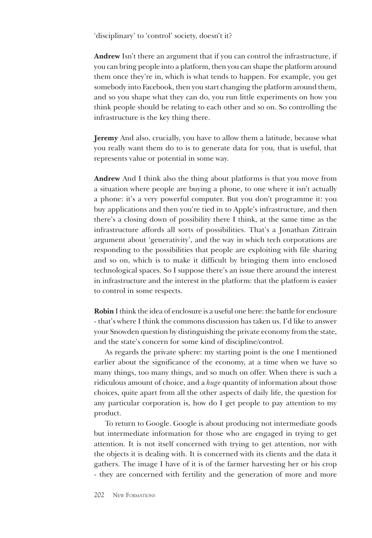'disciplinary' to 'control' society, doesn't it?

**Andrew** Isn't there an argument that if you can control the infrastructure, if you can bring people into a platform, then you can shape the platform around them once they're in, which is what tends to happen. For example, you get somebody into Facebook, then you start changing the platform around them, and so you shape what they can do, you run little experiments on how you think people should be relating to each other and so on. So controlling the infrastructure is the key thing there.

**Jeremy** And also, crucially, you have to allow them a latitude, because what you really want them do to is to generate data for you, that is useful, that represents value or potential in some way.

**Andrew** And I think also the thing about platforms is that you move from a situation where people are buying a phone, to one where it isn't actually a phone: it's a very powerful computer. But you don't programme it: you buy applications and then you're tied in to Apple's infrastructure, and then there's a closing down of possibility there I think, at the same time as the infrastructure affords all sorts of possibilities. That's a Jonathan Zittrain argument about 'generativity', and the way in which tech corporations are responding to the possibilities that people are exploiting with file sharing and so on, which is to make it difficult by bringing them into enclosed technological spaces. So I suppose there's an issue there around the interest in infrastructure and the interest in the platform: that the platform is easier to control in some respects.

**Robin** I think the idea of enclosure is a useful one here: the battle for enclosure - that's where I think the commons discussion has taken us. I'd like to answer your Snowden question by distinguishing the private economy from the state, and the state's concern for some kind of discipline/control.

As regards the private sphere: my starting point is the one I mentioned earlier about the significance of the economy, at a time when we have so many things, too many things, and so much on offer. When there is such a ridiculous amount of choice, and a *huge* quantity of information about those choices, quite apart from all the other aspects of daily life, the question for any particular corporation is, how do I get people to pay attention to my product.

To return to Google. Google is about producing not intermediate goods but intermediate information for those who are engaged in trying to get attention. It is not itself concerned with trying to get attention, nor with the objects it is dealing with. It is concerned with its clients and the data it gathers. The image I have of it is of the farmer harvesting her or his crop - they are concerned with fertility and the generation of more and more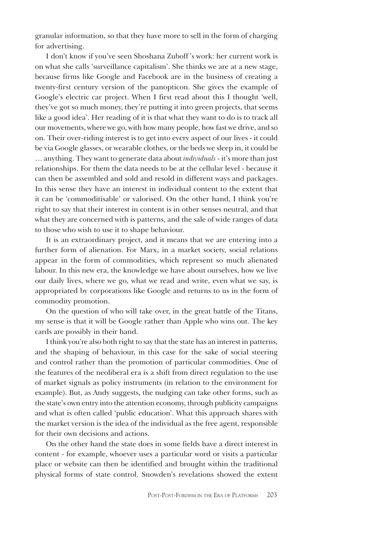granular information, so that they have more to sell in the form of charging for advertising.

I don't know if you've seen Shoshana Zuboff 's work: her current work is on what she calls 'surveillance capitalism'. She thinks we are at a new stage, because firms like Google and Facebook are in the business of creating a twenty-first century version of the panopticon. She gives the example of Google's electric car project. When I first read about this I thought 'well, they've got so much money, they're putting it into green projects, that seems like a good idea'. Her reading of it is that what they want to do is to track all our movements, where we go, with how many people, how fast we drive, and so on. Their over-riding interest is to get into every aspect of our lives - it could be via Google glasses, or wearable clothes, or the beds we sleep in, it could be … anything. They want to generate data about *individuals* - it's more than just relationships. For them the data needs to be at the cellular level - because it can then be assembled and sold and resold in different ways and packages. In this sense they have an interest in individual content to the extent that it can be 'commoditisable' or valorised. On the other hand, I think you're right to say that their interest in content is in other senses neutral, and that what they are concerned with is patterns, and the sale of wide ranges of data to those who wish to use it to shape behaviour.

It is an extraordinary project, and it means that we are entering into a further form of alienation. For Marx, in a market society, social relations appear in the form of commodities, which represent so much alienated labour. In this new era, the knowledge we have about ourselves, how we live our daily lives, where we go, what we read and write, even what we say, is appropriated by corporations like Google and returns to us in the form of commodity promotion.

On the question of who will take over, in the great battle of the Titans, my sense is that it will be Google rather than Apple who wins out. The key cards are possibly in their hand.

I think you're also both right to say that the state has an interest in patterns, and the shaping of behaviour, in this case for the sake of social steering and control rather than the promotion of particular commodities. One of the features of the neoliberal era is a shift from direct regulation to the use of market signals as policy instruments (in relation to the environment for example). But, as Andy suggests, the nudging can take other forms, such as the state's own entry into the attention economy, through publicity campaigns and what is often called 'public education'. What this approach shares with the market version is the idea of the individual as the free agent, responsible for their own decisions and actions.

On the other hand the state does in some fields have a direct interest in content - for example, whoever uses a particular word or visits a particular place or website can then be identified and brought within the traditional physical forms of state control. Snowden's revelations showed the extent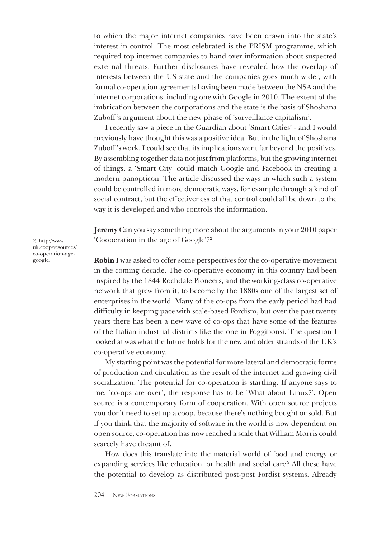to which the major internet companies have been drawn into the state's interest in control. The most celebrated is the PRISM programme, which required top internet companies to hand over information about suspected external threats. Further disclosures have revealed how the overlap of interests between the US state and the companies goes much wider, with formal co-operation agreements having been made between the NSA and the internet corporations, including one with Google in 2010. The extent of the imbrication between the corporations and the state is the basis of Shoshana Zuboff 's argument about the new phase of 'surveillance capitalism'.

I recently saw a piece in the Guardian about 'Smart Cities' - and I would previously have thought this was a positive idea. But in the light of Shoshana Zuboff 's work, I could see that its implications went far beyond the positives. By assembling together data not just from platforms, but the growing internet of things, a 'Smart City' could match Google and Facebook in creating a modern panopticon. The article discussed the ways in which such a system could be controlled in more democratic ways, for example through a kind of social contract, but the effectiveness of that control could all be down to the way it is developed and who controls the information.

**Jeremy** Can you say something more about the arguments in your 2010 paper 'Cooperation in the age of Google'?2

**Robin** I was asked to offer some perspectives for the co-operative movement in the coming decade. The co-operative economy in this country had been inspired by the 1844 Rochdale Pioneers, and the working-class co-operative network that grew from it, to become by the 1880s one of the largest set of enterprises in the world. Many of the co-ops from the early period had had difficulty in keeping pace with scale-based Fordism, but over the past twenty years there has been a new wave of co-ops that have some of the features of the Italian industrial districts like the one in Poggibonsi. The question I looked at was what the future holds for the new and older strands of the UK's co-operative economy.

My starting point was the potential for more lateral and democratic forms of production and circulation as the result of the internet and growing civil socialization. The potential for co-operation is startling. If anyone says to me, 'co-ops are over', the response has to be 'What about Linux?'. Open source is a contemporary form of cooperation. With open source projects you don't need to set up a coop, because there's nothing bought or sold. But if you think that the majority of software in the world is now dependent on open source, co-operation has now reached a scale that William Morris could scarcely have dreamt of.

How does this translate into the material world of food and energy or expanding services like education, or health and social care? All these have the potential to develop as distributed post-post Fordist systems. Already

2. http://www. uk.coop/resources/ co-operation-agegoogle.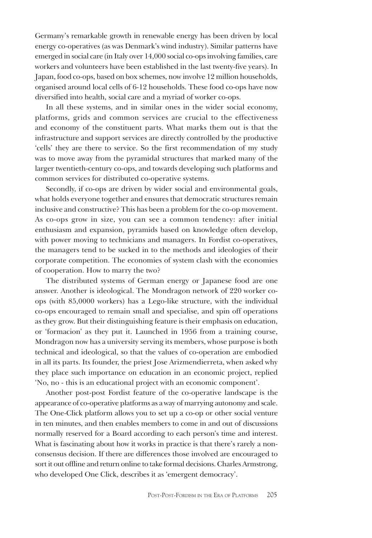Germany's remarkable growth in renewable energy has been driven by local energy co-operatives (as was Denmark's wind industry). Similar patterns have emerged in social care (in Italy over 14,000 social co-ops involving families, care workers and volunteers have been established in the last twenty-five years). In Japan, food co-ops, based on box schemes, now involve 12 million households, organised around local cells of 6-12 households. These food co-ops have now diversified into health, social care and a myriad of worker co-ops.

In all these systems, and in similar ones in the wider social economy, platforms, grids and common services are crucial to the effectiveness and economy of the constituent parts. What marks them out is that the infrastructure and support services are directly controlled by the productive 'cells' they are there to service. So the first recommendation of my study was to move away from the pyramidal structures that marked many of the larger twentieth-century co-ops, and towards developing such platforms and common services for distributed co-operative systems.

 Secondly, if co-ops are driven by wider social and environmental goals, what holds everyone together and ensures that democratic structures remain inclusive and constructive? This has been a problem for the co-op movement. As co-ops grow in size, you can see a common tendency: after initial enthusiasm and expansion, pyramids based on knowledge often develop, with power moving to technicians and managers. In Fordist co-operatives, the managers tend to be sucked in to the methods and ideologies of their corporate competition. The economies of system clash with the economies of cooperation. How to marry the two?

The distributed systems of German energy or Japanese food are one answer. Another is ideological. The Mondragon network of 220 worker coops (with 85,0000 workers) has a Lego-like structure, with the individual co-ops encouraged to remain small and specialise, and spin off operations as they grow. But their distinguishing feature is their emphasis on education, or 'formacion' as they put it. Launched in 1956 from a training course, Mondragon now has a university serving its members, whose purpose is both technical and ideological, so that the values of co-operation are embodied in all its parts. Its founder, the priest Jose Arizmendierreta, when asked why they place such importance on education in an economic project, replied 'No, no - this is an educational project with an economic component'.

Another post-post Fordist feature of the co-operative landscape is the appearance of co-operative platforms as a way of marrying autonomy and scale. The One-Click platform allows you to set up a co-op or other social venture in ten minutes, and then enables members to come in and out of discussions normally reserved for a Board according to each person's time and interest. What is fascinating about how it works in practice is that there's rarely a nonconsensus decision. If there are differences those involved are encouraged to sort it out offline and return online to take formal decisions. Charles Armstrong, who developed One Click, describes it as 'emergent democracy'.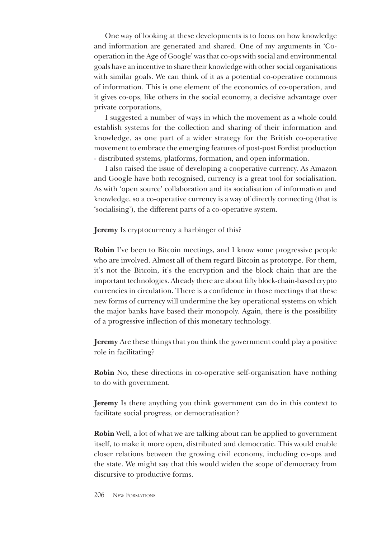One way of looking at these developments is to focus on how knowledge and information are generated and shared. One of my arguments in 'Cooperation in the Age of Google' was that co-ops with social and environmental goals have an incentive to share their knowledge with other social organisations with similar goals. We can think of it as a potential co-operative commons of information. This is one element of the economics of co-operation, and it gives co-ops, like others in the social economy, a decisive advantage over private corporations,

I suggested a number of ways in which the movement as a whole could establish systems for the collection and sharing of their information and knowledge, as one part of a wider strategy for the British co-operative movement to embrace the emerging features of post-post Fordist production - distributed systems, platforms, formation, and open information.

I also raised the issue of developing a cooperative currency. As Amazon and Google have both recognised, currency is a great tool for socialisation. As with 'open source' collaboration and its socialisation of information and knowledge, so a co-operative currency is a way of directly connecting (that is 'socialising'), the different parts of a co-operative system.

**Jeremy** Is cryptocurrency a harbinger of this?

**Robin** I've been to Bitcoin meetings, and I know some progressive people who are involved. Almost all of them regard Bitcoin as prototype. For them, it's not the Bitcoin, it's the encryption and the block chain that are the important technologies. Already there are about fifty block-chain-based crypto currencies in circulation. There is a confidence in those meetings that these new forms of currency will undermine the key operational systems on which the major banks have based their monopoly. Again, there is the possibility of a progressive inflection of this monetary technology.

**Jeremy** Are these things that you think the government could play a positive role in facilitating?

**Robin** No, these directions in co-operative self-organisation have nothing to do with government.

**Jeremy** Is there anything you think government can do in this context to facilitate social progress, or democratisation?

**Robin** Well, a lot of what we are talking about can be applied to government itself, to make it more open, distributed and democratic. This would enable closer relations between the growing civil economy, including co-ops and the state. We might say that this would widen the scope of democracy from discursive to productive forms.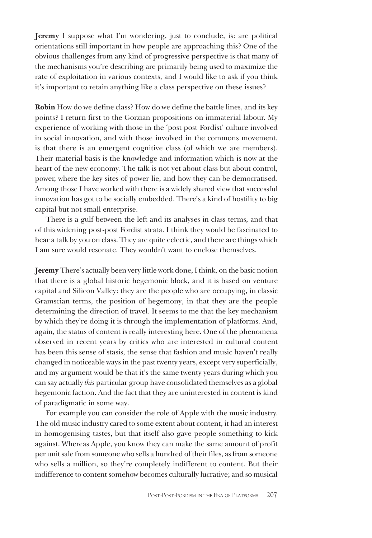**Jeremy** I suppose what I'm wondering, just to conclude, is: are political orientations still important in how people are approaching this? One of the obvious challenges from any kind of progressive perspective is that many of the mechanisms you're describing are primarily being used to maximize the rate of exploitation in various contexts, and I would like to ask if you think it's important to retain anything like a class perspective on these issues?

**Robin** How do we define class? How do we define the battle lines, and its key points? I return first to the Gorzian propositions on immaterial labour. My experience of working with those in the 'post post Fordist' culture involved in social innovation, and with those involved in the commons movement, is that there is an emergent cognitive class (of which we are members). Their material basis is the knowledge and information which is now at the heart of the new economy. The talk is not yet about class but about control, power, where the key sites of power lie, and how they can be democratised. Among those I have worked with there is a widely shared view that successful innovation has got to be socially embedded. There's a kind of hostility to big capital but not small enterprise.

There is a gulf between the left and its analyses in class terms, and that of this widening post-post Fordist strata. I think they would be fascinated to hear a talk by you on class. They are quite eclectic, and there are things which I am sure would resonate. They wouldn't want to enclose themselves.

**Jeremy** There's actually been very little work done, I think, on the basic notion that there is a global historic hegemonic block, and it is based on venture capital and Silicon Valley: they are the people who are occupying, in classic Gramscian terms, the position of hegemony, in that they are the people determining the direction of travel. It seems to me that the key mechanism by which they're doing it is through the implementation of platforms. And, again, the status of content is really interesting here. One of the phenomena observed in recent years by critics who are interested in cultural content has been this sense of stasis, the sense that fashion and music haven't really changed in noticeable ways in the past twenty years, except very superficially, and my argument would be that it's the same twenty years during which you can say actually *this* particular group have consolidated themselves as a global hegemonic faction. And the fact that they are uninterested in content is kind of paradigmatic in some way.

For example you can consider the role of Apple with the music industry. The old music industry cared to some extent about content, it had an interest in homogenising tastes, but that itself also gave people something to kick against. Whereas Apple, you know they can make the same amount of profit per unit sale from someone who sells a hundred of their files, as from someone who sells a million, so they're completely indifferent to content. But their indifference to content somehow becomes culturally lucrative; and so musical